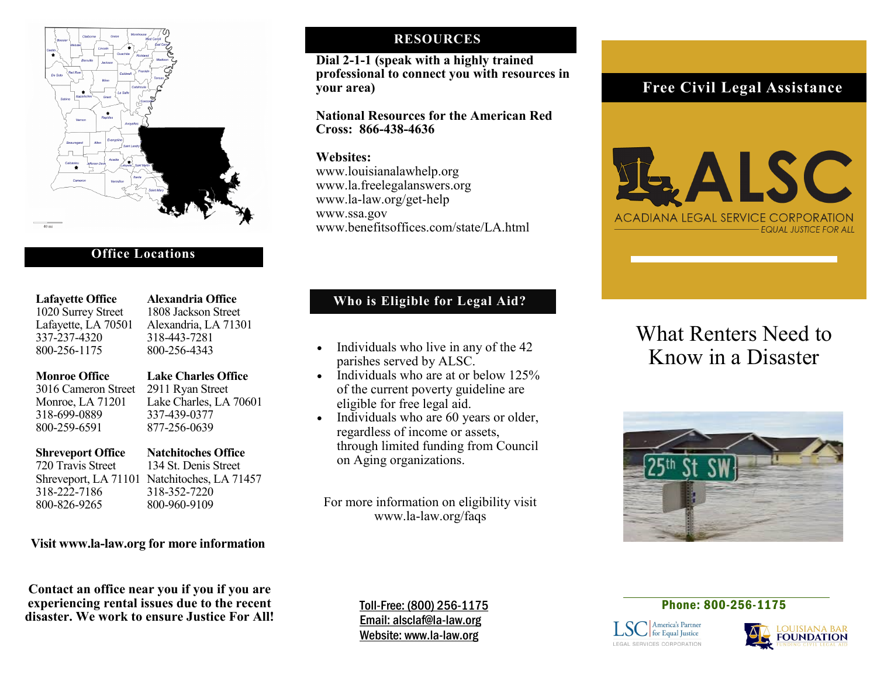

### **Office Locations**

| <b>Lafayette Office</b> |
|-------------------------|
| 1020 Surrey Street      |
| Lafayette, LA 70501     |
| 337-237-4320            |
| 800-256-1175            |

**Alexandria Office** 1808 Jackson Street Alexandria, LA 71301 337-237-4320 318-443-7281 800-256-4343

### **Monroe Office Lake Charles Office**

 3016 Cameron Street 2911 Ryan Street Monroe, LA 71201 Lake Charles, LA 70601

### 318-699-0889 337-439-0377 800-259-6591 877-256-0639

 318-222-7186 318-352-7220 800-826-9265 800-960-9109

**Shreveport Office Natchitoches Office**<br> **P20 Travis Street 134 St. Denis Street** 134 St. Denis Street Shreveport, LA 71101 Natchitoches, LA 71457

### **Visit www.la-law.org for more information**

**Contact an office near you if you if you are experiencing rental issues due to the recent disaster. We work to ensure Justice For All!**

### **RESOURCES**

**Dial 2-1-1 (speak with a highly trained professional to connect you with resources in your area)**

**National Resources for the American Red Cross: 866-438-4636**

### **Websites:**

www.louisianalawhelp.org www.la.freelegalanswers.org www.la-law.org/get-help www.ssa.gov www.benefitsoffices.com/state/LA.html

### **Who is Eligible for Legal Aid?**

- Individuals who live in any of the 42<br> **Know in a Disaster** parishes served by ALSC.
- Individuals who are at or below 125% of the current poverty guideline are eligible for free legal aid.
- Individuals who are 60 years or older, regardless of income or assets, through limited funding from Council on Aging organizations.

For more information on eligibility visit www.la-law.org/faqs

## **Free Civil Legal Assistance**



# What Renters Need to



Toll-Free: (800) 256-1175 Email: alsclaf@la-law.org Website: www.la-law.org

### Phone: 800-256-1175